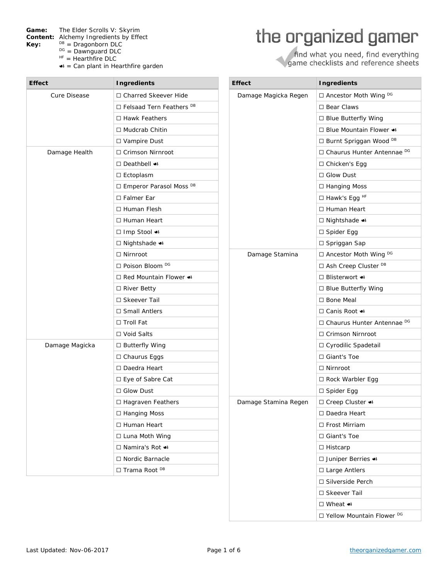Game: The Elder Scrolls V: Skyrim

- **Content:** Alchemy Ingredients by Effect
- **Key:** <sup>DB</sup> = Dragonborn DLC<br>
<sup>DG</sup> = Dawnguard DLC<br>
<sup>HF</sup> = Hearthfire DLC
	-
	-
	- $\triangleleft$  = Can plant in Hearthfire garden

## the organized gamer

find what you need, find everything<br>game checklists and reference sheets

| <b>Effect</b>       | <b>Ingredients</b>                    | <b>Effect</b>        | <b>Ingredients</b>                 |
|---------------------|---------------------------------------|----------------------|------------------------------------|
| <b>Cure Disease</b> | □ Charred Skeever Hide                | Damage Magicka Regen | □ Ancestor Moth Wing DG            |
|                     | □ Felsaad Tern Feathers <sup>DB</sup> |                      | □ Bear Claws                       |
|                     | $\Box$ Hawk Feathers                  |                      | □ Blue Butterfly Wing              |
|                     | □ Mudcrab Chitin                      |                      | □ Blue Mountain Flower •           |
|                     | □ Vampire Dust                        |                      | □ Burnt Spriggan Wood DB           |
| Damage Health       | □ Crimson Nirnroot                    |                      | □ Chaurus Hunter Antennae DG       |
|                     | □ Deathbell •                         |                      | □ Chicken's Egg                    |
|                     | $\square$ Ectoplasm                   |                      | $\Box$ Glow Dust                   |
|                     | □ Emperor Parasol Moss DB             |                      | □ Hanging Moss                     |
|                     | $\Box$ Falmer Ear                     |                      | $\Box$ Hawk's Egg <sup>HF</sup>    |
|                     | □ Human Flesh                         |                      | □ Human Heart                      |
|                     | □ Human Heart                         |                      | $\Box$ Nightshade $\bullet\bullet$ |
|                     | □ Imp Stool +                         |                      | □ Spider Egg                       |
|                     | □ Nightshade •                        |                      | □ Spriggan Sap                     |
|                     | $\Box$ Nirnroot                       | Damage Stamina       | □ Ancestor Moth Wing DG            |
|                     | $\Box$ Poison Bloom <sup>DG</sup>     |                      | □ Ash Creep Cluster DB             |
|                     | □ Red Mountain Flower •               |                      | □ Blisterwort •                    |
|                     | □ River Betty                         |                      | $\Box$ Blue Butterfly Wing         |
|                     | □ Skeever Tail                        |                      | □ Bone Meal                        |
|                     | $\Box$ Small Antlers                  |                      | □ Canis Root +                     |
|                     | $\Box$ Troll Fat                      |                      | □ Chaurus Hunter Antennae DG       |
|                     | □ Void Salts                          |                      | □ Crimson Nirnroot                 |
| Damage Magicka      | □ Butterfly Wing                      |                      | □ Cyrodilic Spadetail              |
|                     | □ Chaurus Eggs                        |                      | □ Giant's Toe                      |
|                     | □ Daedra Heart                        |                      | $\Box$ Nirnroot                    |
|                     | □ Eye of Sabre Cat                    |                      | □ Rock Warbler Egg                 |
|                     | $\Box$ Glow Dust                      |                      | $\Box$ Spider Egg                  |
|                     | $\Box$ Hagraven Feathers              | Damage Stamina Regen | □ Creep Cluster $\bullet$          |
|                     | □ Hanging Moss                        |                      | □ Daedra Heart                     |
|                     | □ Human Heart                         |                      | □ Frost Mirriam                    |
|                     | □ Luna Moth Wing                      |                      | □ Giant's Toe                      |
|                     | □ Namira's Rot $\bullet$              |                      | □ Histcarp                         |
|                     | □ Nordic Barnacle                     |                      | □ Juniper Berries <>               |
|                     | □ Trama Root <sup>DB</sup>            |                      | □ Large Antlers                    |
|                     |                                       |                      | □ Silverside Perch                 |
|                     |                                       |                      | □ Skeever Tail                     |
|                     |                                       |                      | □ Wheat $\bullet$                  |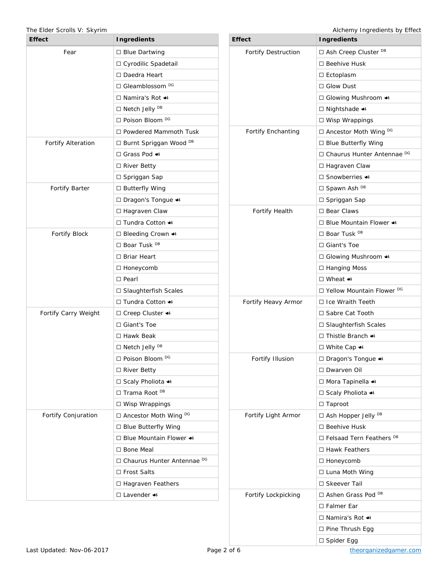## The Elder Scrolls V: Skyrim **Alchemy Ingredients by Effect** Alchemy Ingredients by Effect

| <b>Effect</b>             | <b>Ingredients</b>                          |  |
|---------------------------|---------------------------------------------|--|
| Fear                      | $\Box$ Blue Dartwing                        |  |
|                           | □ Cyrodilic Spadetail                       |  |
|                           | □ Daedra Heart                              |  |
|                           | □ Gleamblossom <sup>DG</sup>                |  |
|                           | □ Namira's Rot $\bullet$                    |  |
|                           | □ Netch Jelly <sup>DB</sup>                 |  |
|                           | □ Poison Bloom <sup>DG</sup>                |  |
|                           | $\Box$ Powdered Mammoth Tusk                |  |
| <b>Fortify Alteration</b> | □ Burnt Spriggan Wood DB                    |  |
|                           | □ Grass Pod $\bullet$                       |  |
|                           | □ River Betty                               |  |
|                           | □ Spriggan Sap                              |  |
| <b>Fortify Barter</b>     | $\Box$ Butterfly Wing                       |  |
|                           | □ Dragon's Tongue <>                        |  |
|                           | □ Hagraven Claw                             |  |
|                           | □ Tundra Cotton •                           |  |
| <b>Fortify Block</b>      | □ Bleeding Crown <>                         |  |
|                           | $\Box$ Boar Tusk <sup>DB</sup>              |  |
|                           | □ Briar Heart                               |  |
|                           | $\Box$ Honeycomb                            |  |
|                           | $\Box$ Pearl                                |  |
|                           | □ Slaughterfish Scales                      |  |
|                           | □ Tundra Cotton •                           |  |
| Fortify Carry Weight      | □ Creep Cluster $\bullet$                   |  |
|                           | □ Giant's Toe                               |  |
|                           | □ Hawk Beak                                 |  |
|                           | □ Netch Jelly <sup>DB</sup>                 |  |
|                           | □ Poison Bloom <sup>DG</sup>                |  |
|                           | □ River Betty                               |  |
|                           | □ Scaly Pholiota +                          |  |
|                           | $\Box$ Trama Root <sup>DB</sup>             |  |
|                           | $\Box$ Wisp Wrappings                       |  |
| Fortify Conjuration       | □ Ancestor Moth Wing DG                     |  |
|                           | $\Box$ Blue Butterfly Wing                  |  |
|                           | $\Box$ Blue Mountain Flower $\triangleleft$ |  |
|                           | □ Bone Meal                                 |  |
|                           | □ Chaurus Hunter Antennae DG                |  |
|                           | □ Frost Salts                               |  |
|                           | □ Hagraven Feathers                         |  |
|                           | $\Box$ Lavender $\bullet\bullet$            |  |

**Effect Ingredients** Fortify Destruction <u>□</u> Ash Creep Cluster <sup>DB</sup> ⬜ Beehive Husk □ Ectoplasm ⬜ Glow Dust □ Glowing Mushroom  $\triangleleft$ □ Nightshade  $\triangleleft$ ⬜ Wisp Wrappings Fortify Enchanting  $\Box$  Ancestor Moth Wing DG □ Blue Butterfly Wing □ Chaurus Hunter Antennae DG □ Hagraven Claw ⬜ Snowberries ☙ □ Spawn Ash DB □ Spriggan Sap Fortify Health ⬜ Bear Claws □ Blue Mountain Flower < □ Boar Tusk <sup>DB</sup> ⬜ Giant's Toe □ Glowing Mushroom  $\triangleleft$ □ Hanging Moss ⬜ Wheat ☙ □ Yellow Mountain Flower <sup>DG</sup> Fortify Heavy Armor  $\Box$  Ice Wraith Teeth □ Sabre Cat Tooth ⬜ Slaughterfish Scales ⬜ Thistle Branch ☙ □ White Cap  $\triangleleft$ Fortify Illusion  $\Box$  Dragon's Tongue  $\triangleleft$ ⬜ Dwarven Oil □ Mora Tapinella < □ Scaly Pholiota < □ Taproot Fortify Light Armor  $\Box$  Ash Hopper Jelly DB ⬜ Beehive Husk □ Felsaad Tern Feathers<sup>DB</sup> ⬜ Hawk Feathers □ Honeycomb □ Luna Moth Wing ⬜ Skeever Tail Fortify Lockpicking │ □ Ashen Grass Pod DB □ Falmer Ear □ Namira's Rot  $\clubsuit$ □ Pine Thrush Egg □ Spider Egg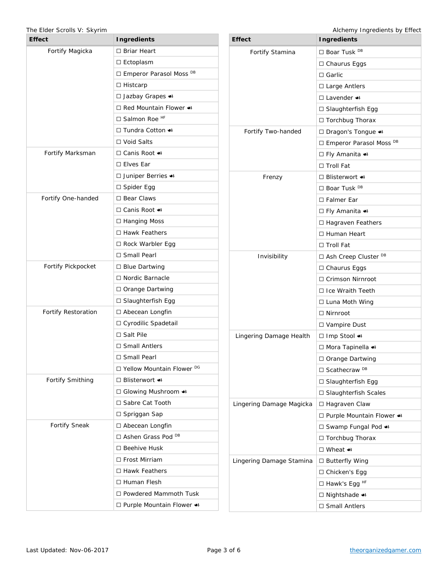| <b>Effect</b>           | <b>Ingredients</b>                     |  |
|-------------------------|----------------------------------------|--|
| Fortify Magicka         | $\Box$ Briar Heart                     |  |
|                         | $\Box$ Ectoplasm                       |  |
|                         | □ Emperor Parasol Moss DB              |  |
|                         | $\Box$ Histcarp                        |  |
|                         | □ Jazbay Grapes <>                     |  |
|                         | □ Red Mountain Flower <>               |  |
|                         | □ Salmon Roe <sup>HF</sup>             |  |
|                         | □ Tundra Cotton •                      |  |
|                         | □ Void Salts                           |  |
| Fortify Marksman        | □ Canis Root $\bullet$                 |  |
|                         | $\Box$ Elves Ear                       |  |
|                         | □ Juniper Berries <                    |  |
|                         | □ Spider Egg                           |  |
| Fortify One-handed      | $\Box$ Bear Claws                      |  |
|                         | □ Canis Root $\bullet$                 |  |
|                         | $\Box$ Hanging Moss                    |  |
|                         | $\Box$ Hawk Feathers                   |  |
|                         | $\Box$ Rock Warbler Egg                |  |
|                         | $\Box$ Small Pearl                     |  |
| Fortify Pickpocket      | $\Box$ Blue Dartwing                   |  |
|                         | □ Nordic Barnacle                      |  |
|                         | $\Box$ Orange Dartwing                 |  |
|                         | $\Box$ Slaughterfish Egg               |  |
| Fortify Restoration     | $\Box$ Abecean Longfin                 |  |
|                         | □ Cyrodilic Spadetail                  |  |
|                         | $\Box$ Salt Pile                       |  |
|                         | $\Box$ Small Antlers                   |  |
|                         | □ Small Pearl                          |  |
|                         | □ Yellow Mountain Flower <sup>DG</sup> |  |
| <b>Fortify Smithing</b> | □ Blisterwort $\bullet$                |  |
|                         | □ Glowing Mushroom •                   |  |
|                         | □ Sabre Cat Tooth                      |  |
|                         | $\Box$ Spriggan Sap                    |  |
| <b>Fortify Sneak</b>    | $\Box$ Abecean Longfin                 |  |
|                         | □ Ashen Grass Pod DB                   |  |
|                         | $\Box$ Beehive Husk                    |  |
|                         | $\Box$ Frost Mirriam                   |  |
|                         | □ Hawk Feathers                        |  |
|                         | $\Box$ Human Flesh                     |  |
|                         | □ Powdered Mammoth Tusk                |  |
|                         | □ Purple Mountain Flower •             |  |

The Elder Scrolls V: Skyrim and The Elder Scrolls V: Skyrim Alchemy Ingredients by Effect

| <b>Effect</b>            | <b>Ingredients</b>                            |  |
|--------------------------|-----------------------------------------------|--|
| Fortify Stamina          | □ Boar Tusk <sup>DB</sup>                     |  |
|                          | □ Chaurus Eggs                                |  |
|                          | $\Box$ Garlic                                 |  |
|                          | □ Large Antlers                               |  |
|                          | $\Box$ Lavender $\triangleleft$               |  |
|                          | $\Box$ Slaughterfish Egg                      |  |
|                          | □ Torchbug Thorax                             |  |
| Fortify Two-handed       | □ Dragon's Tongue <>                          |  |
|                          | □ Emperor Parasol Moss DB                     |  |
|                          | □ Fly Amanita +                               |  |
|                          | $\Box$ Troll Fat                              |  |
| Frenzy                   | □ Blisterwort •                               |  |
|                          | □ Boar Tusk <sup>DB</sup>                     |  |
|                          | □ Falmer Ear                                  |  |
|                          | $\Box$ Fly Amanita $\bullet$                  |  |
|                          | □ Hagraven Feathers                           |  |
|                          | □ Human Heart                                 |  |
|                          | □ Troll Fat                                   |  |
| Invisibility             | □ Ash Creep Cluster <sup>DB</sup>             |  |
|                          | $\Box$ Chaurus Eggs                           |  |
|                          | □ Crimson Nirnroot                            |  |
|                          | $\Box$ Ice Wraith Teeth                       |  |
|                          | □ Luna Moth Wing                              |  |
|                          | $\Box$ Nirnroot                               |  |
|                          | $\Box$ Vampire Dust                           |  |
| Lingering Damage Health  | □ Imp Stool +                                 |  |
|                          | □ Mora Tapinella •                            |  |
|                          | □ Orange Dartwing                             |  |
|                          | □ Scathecraw <sup>DB</sup>                    |  |
|                          | □ Slaughterfish Egg                           |  |
|                          | □ Slaughterfish Scales                        |  |
| Lingering Damage Magicka | □ Hagraven Claw                               |  |
|                          | $\Box$ Purple Mountain Flower $\triangleleft$ |  |
|                          | □ Swamp Fungal Pod •                          |  |
|                          | □ Torchbug Thorax                             |  |
|                          | □ Wheat $\bullet$                             |  |
| Lingering Damage Stamina | □ Butterfly Wing                              |  |
|                          | □ Chicken's Egg                               |  |
|                          | □ Hawk's Egg <sup>HF</sup>                    |  |
|                          | □ Nightshade +                                |  |
|                          | □ Small Antlers                               |  |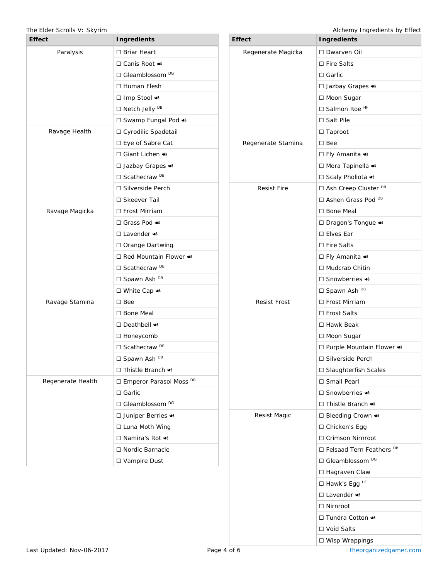| <b>Effect</b>     | <b>Ingredients</b>                     |  |
|-------------------|----------------------------------------|--|
| Paralysis         | □ Briar Heart                          |  |
|                   | □ Canis Root $\bullet$                 |  |
|                   | □ Gleamblossom DG                      |  |
|                   | □ Human Flesh                          |  |
|                   | □ Imp Stool +                          |  |
|                   | □ Netch Jelly <sup>DB</sup>            |  |
|                   | □ Swamp Fungal Pod <a></a>             |  |
| Ravage Health     | □ Cyrodilic Spadetail                  |  |
|                   | $\Box$ Eye of Sabre Cat                |  |
|                   | □ Giant Lichen •                       |  |
|                   | □ Jazbay Grapes <                      |  |
|                   | $\Box$ Scathecraw $DB$                 |  |
|                   | $\Box$ Silverside Perch                |  |
|                   | □ Skeever Tail                         |  |
| Ravage Magicka    | □ Frost Mirriam                        |  |
|                   | □ Grass Pod $\bullet$                  |  |
|                   | $\Box$ Lavender $\triangleleft$        |  |
|                   | □ Orange Dartwing                      |  |
|                   | $\Box$ Red Mountain Flower $\bullet$   |  |
|                   | □ Scathecraw <sup>DB</sup>             |  |
|                   | □ Spawn Ash DB                         |  |
|                   | □ White Cap $\triangleleft$            |  |
| Ravage Stamina    | $\square$ Bee                          |  |
|                   | □ Bone Meal                            |  |
|                   | $\Box$ Deathbell $\bullet$             |  |
|                   | $\Box$ Honeycomb                       |  |
|                   | □ Scathecraw <sup>DB</sup>             |  |
|                   | □ Spawn Ash DB                         |  |
|                   | $\Box$ Thistle Branch $\bullet\bullet$ |  |
| Regenerate Health | □ Emperor Parasol Moss DB              |  |
|                   | $\Box$ Garlic                          |  |
|                   | □ Gleamblossom DG                      |  |
|                   | □ Juniper Berries <>                   |  |
|                   | □ Luna Moth Wing                       |  |
|                   | □ Namira's Rot •                       |  |
|                   | □ Nordic Barnacle                      |  |
|                   | □ Vampire Dust                         |  |

The Elder Scrolls V: Skyrim **Alchemy Ingredients by Effect** 

| <b>Effect</b>       | <b>Ingredients</b>                  |  |
|---------------------|-------------------------------------|--|
| Regenerate Magicka  | □ Dwarven Oil                       |  |
|                     | □ Fire Salts                        |  |
|                     | $\Box$ Garlic                       |  |
|                     | □ Jazbay Grapes <                   |  |
|                     | □ Moon Sugar                        |  |
|                     | □ Salmon Roe <sup>HF</sup>          |  |
|                     | □ Salt Pile                         |  |
|                     | $\Box$ Taproot                      |  |
| Regenerate Stamina  | $\square$ Bee                       |  |
|                     | □ Fly Amanita •                     |  |
|                     | □ Mora Tapinella •                  |  |
|                     | □ Scaly Pholiota <a></a>            |  |
| <b>Resist Fire</b>  | □ Ash Creep Cluster <sup>DB</sup>   |  |
|                     | □ Ashen Grass Pod <sup>DB</sup>     |  |
|                     | □ Bone Meal                         |  |
|                     | □ Dragon's Tongue <                 |  |
|                     | $\Box$ Elves Ear                    |  |
|                     | □ Fire Salts                        |  |
|                     | □ Fly Amanita +                     |  |
|                     | □ Mudcrab Chitin                    |  |
|                     | □ Snowberries $\bullet$             |  |
|                     | □ Spawn Ash DB                      |  |
| <b>Resist Frost</b> | □ Frost Mirriam                     |  |
|                     | □ Frost Salts                       |  |
|                     | □ Hawk Beak                         |  |
|                     | □ Moon Sugar                        |  |
|                     | □ Purple Mountain Flower <>         |  |
|                     | □ Silverside Perch                  |  |
|                     | □ Slaughterfish Scales              |  |
|                     | □ Small Pearl                       |  |
|                     | $\Box$ Snowberries $\bullet\bullet$ |  |
|                     | □ Thistle Branch •                  |  |
| Resist Magic        | □ Bleeding Crown <>                 |  |
|                     | □ Chicken's Egg                     |  |
|                     | $\Box$ Crimson Nirnroot             |  |
|                     | □ Felsaad Tern Feathers DB          |  |
|                     | □ Gleamblossom <sup>DG</sup>        |  |
|                     | □ Hagraven Claw                     |  |
|                     | □ Hawk's Egg <sup>HF</sup>          |  |
|                     | $\Box$ Lavender $\bullet\bullet$    |  |
|                     | $\Box$ Nirnroot                     |  |
|                     | □ Tundra Cotton •                   |  |
|                     | □ Void Salts                        |  |
|                     | □ Wisp Wrappings                    |  |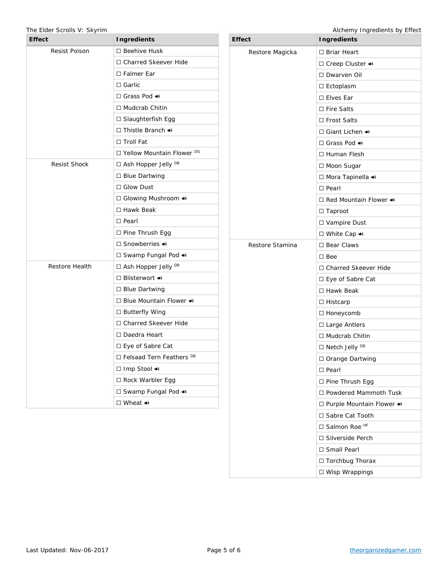The Elder Scrolls V: Skyrim **Alchemy Ingredients by Effect** 

| <b>Effect</b>        | <b>Ingredients</b>               | <b>Effect</b>   | <b>Ingredients</b>                          |
|----------------------|----------------------------------|-----------------|---------------------------------------------|
| <b>Resist Poison</b> | □ Beehive Husk                   | Restore Magicka | □ Briar Heart                               |
|                      | □ Charred Skeever Hide           |                 | □ Creep Cluster ●                           |
|                      | □ Falmer Ear                     |                 | □ Dwarven Oil                               |
|                      | $\Box$ Garlic                    |                 | $\square$ Ectoplasm                         |
|                      | □ Grass Pod +                    |                 | $\square$ Elves Ear                         |
|                      | □ Mudcrab Chitin                 |                 | $\Box$ Fire Salts                           |
|                      | □ Slaughterfish Egg              |                 | □ Frost Salts                               |
|                      | □ Thistle Branch •               |                 | $\Box$ Giant Lichen $\bullet\bullet$        |
|                      | □ Troll Fat                      |                 | □ Grass Pod +                               |
|                      | □ Yellow Mountain Flower DG      |                 | $\Box$ Human Flesh                          |
| <b>Resist Shock</b>  | □ Ash Hopper Jelly <sup>DB</sup> |                 | □ Moon Sugar                                |
|                      | □ Blue Dartwing                  |                 | □ Mora Tapinella •                          |
|                      | $\Box$ Glow Dust                 |                 | $\Box$ Pearl                                |
|                      | □ Glowing Mushroom •             |                 | $\Box$ Red Mountain Flower $\bullet\bullet$ |
|                      | □ Hawk Beak                      |                 | $\Box$ Taproot                              |
|                      | $\square$ Pearl                  |                 | □ Vampire Dust                              |
|                      | $\Box$ Pine Thrush Egg           |                 | □ White Cap •                               |
|                      | □ Snowberries •                  | Restore Stamina | $\square$ Bear Claws                        |
|                      | □ Swamp Fungal Pod <>            |                 | $\square$ Bee                               |
| Restore Health       | □ Ash Hopper Jelly <sup>DB</sup> |                 | □ Charred Skeever Hide                      |
|                      | □ Blisterwort •                  |                 | □ Eye of Sabre Cat                          |
|                      | □ Blue Dartwing                  |                 | □ Hawk Beak                                 |
|                      | □ Blue Mountain Flower •         |                 | $\Box$ Histcarp                             |
|                      | □ Butterfly Wing                 |                 | □ Honeycomb                                 |
|                      | □ Charred Skeever Hide           |                 | □ Large Antlers                             |
|                      | □ Daedra Heart                   |                 | □ Mudcrab Chitin                            |
|                      | □ Eye of Sabre Cat               |                 | □ Netch Jelly <sup>DB</sup>                 |
|                      | $\Box$ Felsaad Tern Feathers DB  |                 | □ Orange Dartwing                           |
|                      | □ Imp Stool ●                    |                 | $\square$ Pearl                             |
|                      | □ Rock Warbler Egg               |                 | □ Pine Thrush Egg                           |
|                      | □ Swamp Fungal Pod <>            |                 | □ Powdered Mammoth Tusk                     |
|                      | □ Wheat $\bullet$                |                 | □ Purple Mountain Flower <>                 |
|                      |                                  |                 | □ Sabre Cat Tooth                           |
|                      |                                  |                 | □ Salmon Roe <sup>HF</sup>                  |
|                      |                                  |                 | □ Silverside Perch                          |
|                      |                                  |                 | □ Small Pearl                               |
|                      |                                  |                 | □ Torchbug Thorax                           |

⬜ Wisp Wrappings